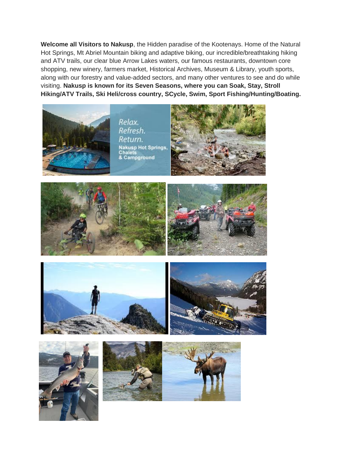**Welcome all Visitors to Nakusp**, the Hidden paradise of the Kootenays. Home of the Natural Hot Springs, Mt Abriel Mountain biking and adaptive biking, our incredible/breathtaking hiking and ATV trails, our clear blue Arrow Lakes waters, our famous restaurants, downtown core shopping, new winery, farmers market, Historical Archives, Museum & Library, youth sports, along with our forestry and value-added sectors, and many other ventures to see and do while visiting. **Nakusp is known for its Seven Seasons, where you can Soak, Stay, Stroll Hiking/ATV Trails, Ski Heli/cross country, SCycle, Swim, Sport Fishing/Hunting/Boating.**



Relax. Refresh. Return. Nakusp Hot Springs,<br>Chalets<br>& Campground













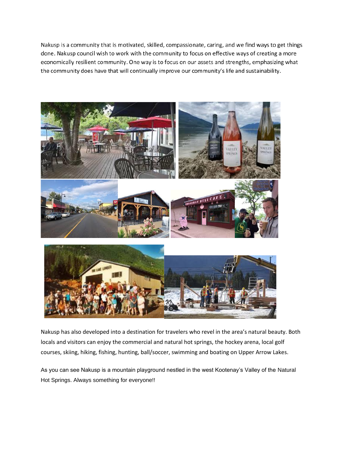Nakusp is a community that is motivated, skilled, compassionate, caring, and we find ways to get things done. Nakusp council wish to work with the community to focus on effective ways of creating a more economically resilient community. One way is to focus on our assets and strengths, emphasizing what the community does have that will continually improve our community's life and sustainability.



Nakusp has also developed into a destination for travelers who revel in the area's natural beauty. Both locals and visitors can enjoy the commercial and natural hot springs, the hockey arena, local golf courses, skiing, hiking, fishing, hunting, ball/soccer, swimming and boating on Upper Arrow Lakes.

As you can see Nakusp is a mountain playground nestled in the west Kootenay's Valley of the Natural Hot Springs. Always something for everyone!!